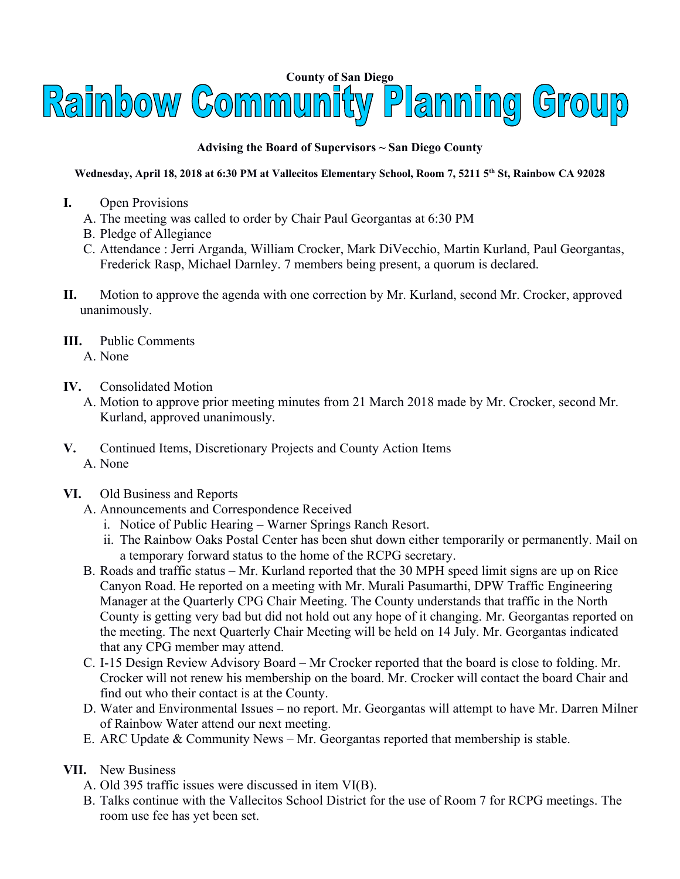## **County of San Diego**<br>Raimbow Community Planning Group

## **Advising the Board of Supervisors ~ San Diego County**

## **Wednesday, April 18, 2018 at 6:30 PM at Vallecitos Elementary School, Room 7, 5211 5th St, Rainbow CA 92028**

- **I.** Open Provisions
	- A. The meeting was called to order by Chair Paul Georgantas at 6:30 PM
	- B. Pledge of Allegiance
	- C. Attendance : Jerri Arganda, William Crocker, Mark DiVecchio, Martin Kurland, Paul Georgantas, Frederick Rasp, Michael Darnley. 7 members being present, a quorum is declared.
- **II.** Motion to approve the agenda with one correction by Mr. Kurland, second Mr. Crocker, approved unanimously.
- **III.** Public Comments A. None
	-
- **IV.** Consolidated Motion
	- A. Motion to approve prior meeting minutes from 21 March 2018 made by Mr. Crocker, second Mr. Kurland, approved unanimously.
- **V.** Continued Items, Discretionary Projects and County Action Items A. None
- **VI.** Old Business and Reports
	- A. Announcements and Correspondence Received
		- i. Notice of Public Hearing Warner Springs Ranch Resort.
		- ii. The Rainbow Oaks Postal Center has been shut down either temporarily or permanently. Mail on a temporary forward status to the home of the RCPG secretary.
	- B. Roads and traffic status Mr. Kurland reported that the 30 MPH speed limit signs are up on Rice Canyon Road. He reported on a meeting with Mr. Murali Pasumarthi, DPW Traffic Engineering Manager at the Quarterly CPG Chair Meeting. The County understands that traffic in the North County is getting very bad but did not hold out any hope of it changing. Mr. Georgantas reported on the meeting. The next Quarterly Chair Meeting will be held on 14 July. Mr. Georgantas indicated that any CPG member may attend.
	- C. I-15 Design Review Advisory Board Mr Crocker reported that the board is close to folding. Mr. Crocker will not renew his membership on the board. Mr. Crocker will contact the board Chair and find out who their contact is at the County.
	- D. Water and Environmental Issues no report. Mr. Georgantas will attempt to have Mr. Darren Milner of Rainbow Water attend our next meeting.
	- E. ARC Update & Community News Mr. Georgantas reported that membership is stable.
- **VII.** New Business
	- A. Old 395 traffic issues were discussed in item VI(B).
	- B. Talks continue with the Vallecitos School District for the use of Room 7 for RCPG meetings. The room use fee has yet been set.